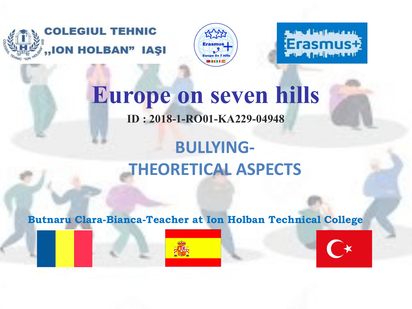



Erasmus I

## **Europe on seven hills ID : 2018-1-RO01-KA229-04948**

## **BULLYING-THEORETICAL ASPECTS**

 **Butnaru Clara-Bianca-Teacher at Ion Holban Technical College**



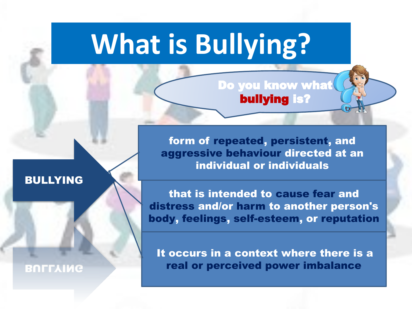# **What is Bullying?**

Do you know what bullying is?

form of repeated, persistent, and aggressive behaviour directed at an individual or individuals

#### BULLYING

**BULLYING** 

that is intended to cause fear and distress and/or harm to another person's body, feelings, self-esteem, or reputation

It occurs in a context where there is a real or perceived power imbalance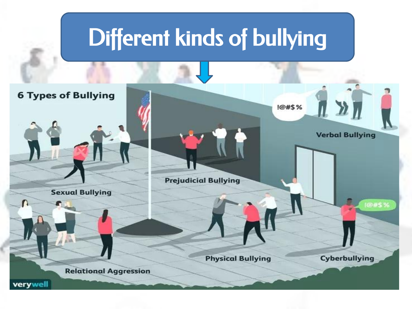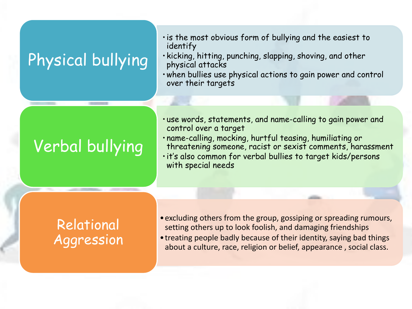## Physical bullying

- •is the most obvious form of bullying and the easiest to identify
- kicking, hitting, punching, slapping, shoving, and other physical attacks
- •when bullies use physical actions to gain power and control over their targets

## Verbal bullying

- use words, statements, and name-calling to gain power and control over a target
- name-calling, mocking, hurtful teasing, humiliating or threatening someone, racist or sexist comments, harassment
- •it's also common for verbal bullies to target kids/persons with special needs

### Relational Aggression

- excluding others from the group, gossiping or spreading rumours, setting others up to look foolish, and damaging friendships
- •treating people badly because of their identity, saying bad things about a culture, race, religion or belief, appearance , social class.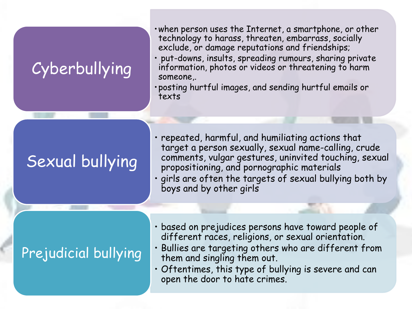### Cyberbullying

- •when person uses the Internet, a smartphone, or other technology to harass, threaten, embarrass, socially exclude, or damage reputations and friendships;
- put-downs, insults, spreading rumours, sharing private information, photos or videos or threatening to harm someone,.
- •posting hurtful images, and sending hurtful emails or texts

## Sexual bullying

- repeated, harmful, and humiliating actions that target a person sexually, sexual name-calling, crude comments, vulgar gestures, uninvited touching, sexual propositioning, and pornographic materials
- girls are often the targets of sexual bullying both by boys and by other girls

### Prejudicial bullying

- based on prejudices persons have toward people of different races, religions, or sexual orientation.
- Bullies are targeting others who are different from them and singling them out.
- Oftentimes, this type of bullying is severe and can open the door to hate crimes.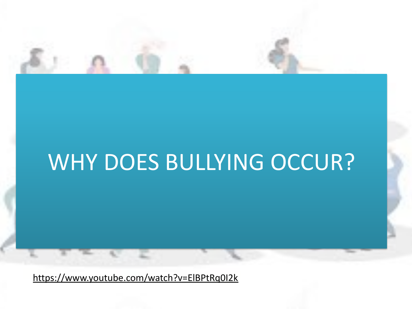

## WHY DOES BULLYING OCCUR?

[https://www.youtube.com/watch?v=ElBPtRq0I2k](https://www.google.com/url?q=https://www.youtube.com/watch?v%3DElBPtRq0I2k&sa=D&source=editors&ust=1634208898552000&usg=AOvVaw1CckH95B9J9acP8EJIQlsw)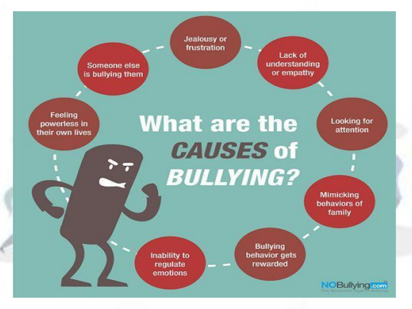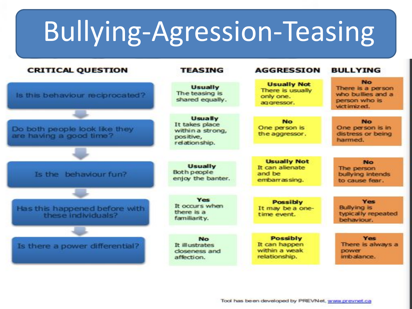# Bullying-Agression-Teasing

| <b>CRITICAL QUESTION</b>                                 | <b>TEASING</b>                                                                     | <b>AGGRESSION</b>                                                  | <b>BULLYING</b>                                                                      |
|----------------------------------------------------------|------------------------------------------------------------------------------------|--------------------------------------------------------------------|--------------------------------------------------------------------------------------|
| Is this behaviour reciprocated?                          | <b>Usually</b><br>The teasing is<br>shared equally.                                | <b>Usually Not</b><br>There is usually<br>only one.<br>ag gressor. | <b>No</b><br>There is a person<br>who bullies and a<br>person who is<br>vict imized. |
| Do both people look like they<br>are having a good time? | <b>Usually</b><br>It takes place<br>within a strong,<br>positive,<br>relationship. | <b>No</b><br>One person is<br>the aggressor.                       | No.<br>One person is in<br>distress or being<br>harmed.                              |
| Is the behaviour fun?                                    | <b>Usually</b><br>Both people<br>enjoy the banter.                                 | <b>Usually Not</b><br>It can allenate<br>and be<br>embarrassing.   | <b>No</b><br>The person<br>bullying intends<br>to cause fear.                        |
| Has this happened before with<br>these individuals?      | Yes<br>It occurs when<br>there is a<br>familiarity.                                | <b>Possibly</b><br>It may be a one-<br>time event.                 | Yes<br><b>Bullying is</b><br>typically repeated<br>behaviour.                        |
| Is there a power differential?                           | <b>No</b><br>It illustrates<br>closeness and<br>affection.                         | <b>Possibly</b><br>It can happen<br>within a weak<br>relationship. | <b>Yes</b><br>There is always a<br><b>DOWET</b><br>imbalance.                        |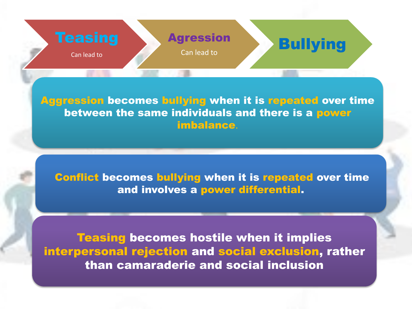

Aggression becomes bullying when it is repeated over time between the same individuals and there is a power imbalance.

Conflict becomes bullying when it is repeated over time and involves a power differential.

Teasing becomes hostile when it implies interpersonal rejection and social exclusion, rather than camaraderie and social inclusion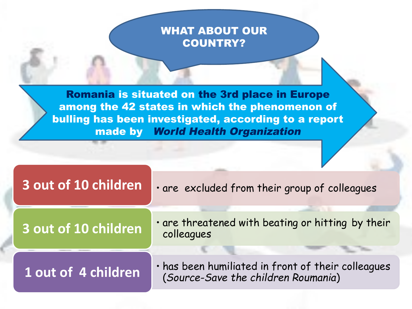#### WHAT ABOUT OUR COUNTRY?

Romania is situated on the 3rd place in Europe among the 42 states in which the phenomenon of bulling has been investigated, according to a report made by World Health Organization

| 3 out of 10 children | . are excluded from their group of colleagues                                             |  |  |
|----------------------|-------------------------------------------------------------------------------------------|--|--|
| 3 out of 10 children | . are threatened with beating or hitting by their<br>colleagues                           |  |  |
| 1 out of 4 children  | · has been humiliated in front of their colleagues<br>(Source-Save the children Roumania) |  |  |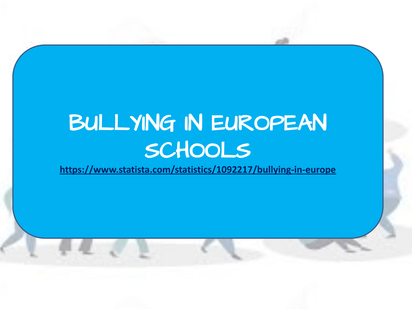## BULLYING IN EUROPEAN SCHOOLS

**[https://www.statista.com/statistics/1092217/bullying-in-europe](https://www.google.com/url?q=https://www.statista.com/statistics/1092217/bullying-in-europe&sa=D&source=editors&ust=1634208899225000&usg=AOvVaw0t-q_2clv0Ziu60VsDf7e8)**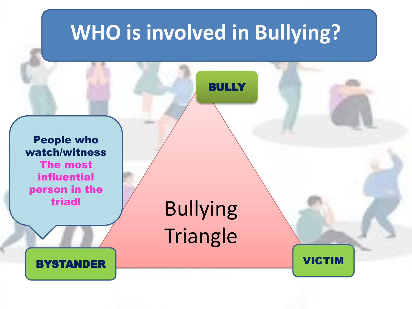## **WHO is involved in Bullying?**

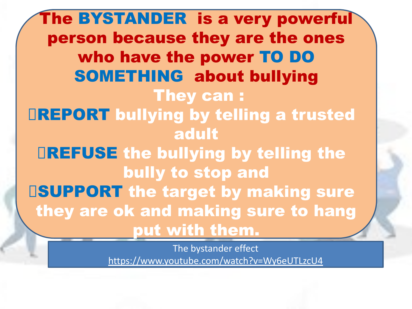The BYSTANDER is a very powerful person because they are the ones who have the power TO DO SOMETHING about bullying They can : **DREPORT bullying by telling a trusted** adult REFUSE the bullying by telling the bully to stop and **ISUPPORT the target by making sure** they are ok and making sure to hang put with them.

> The bystander effect [https://www.youtube.com/watch?v=Wy6eUTLzcU4](https://www.google.com/url?q=https://www.youtube.com/watch?v%3DWy6eUTLzcU4&sa=D&source=editors&ust=1634208899923000&usg=AOvVaw1qoeRWONY0lUDr0WZKgSwN)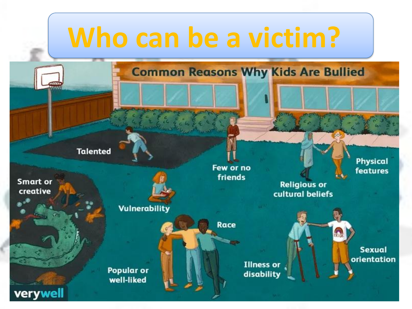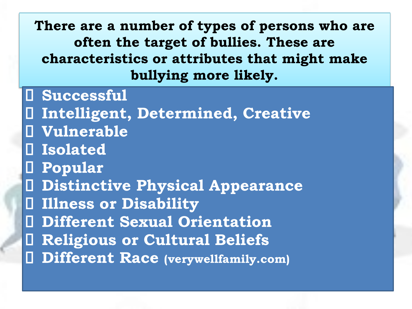**There are a number of types of persons who are often the target of bullies. These are characteristics or attributes that might make bullying more likely.**

 **Successful Intelligent, Determined, Creative Vulnerable Isolated Popular Distinctive Physical Appearance Illness or Disability Different Sexual Orientation Religious or Cultural Beliefs**

**Different Race (verywellfamily.com)**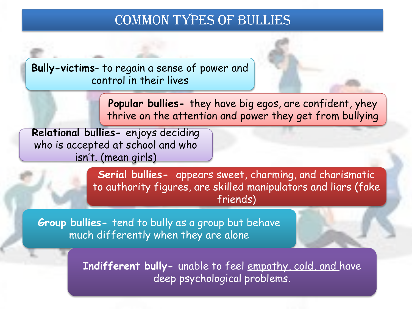### Common Types of Bullies

**Bully-victims**- to regain a sense of power and control in their lives

> **Popular bullies-** they have big egos, are confident, yhey thrive on the attention and power they get from bullying

**Relational bullies-** enjoys deciding who is accepted at school and who isn't. (mean girls)

> **Serial bullies-**  appears sweet, charming, and charismatic to authority figures, are skilled manipulators and liars (fake friends)

**Group bullies-** tend to bully as a group but behave much differently when they are alone

> **Indifferent bully-** unable to feel [empathy,](https://www.google.com/url?q=https://www.verywellfamily.com/how-to-nurture-empathy-in-kids-and-why-its-so-important-621098&sa=D&source=editors&ust=1634208900832000&usg=AOvVaw2QhzeyoXB_6Ya3UTy5eZL4) cold, and have deep psychological problems.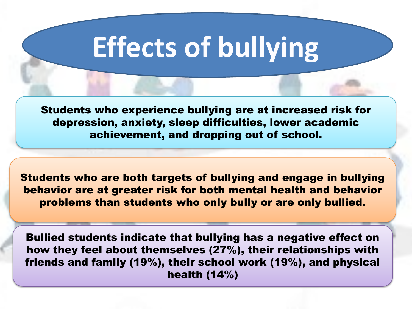# **Effects of bullying**

Students who experience bullying are at increased risk for depression, anxiety, sleep difficulties, lower academic achievement, and dropping out of school.

Students who are both targets of bullying and engage in bullying behavior are at greater risk for both mental health and behavior problems than students who only bully or are only bullied.

Bullied students indicate that bullying has a negative effect on how they feel about themselves (27%), their relationships with friends and family (19%), their school work (19%), and physical health (14%)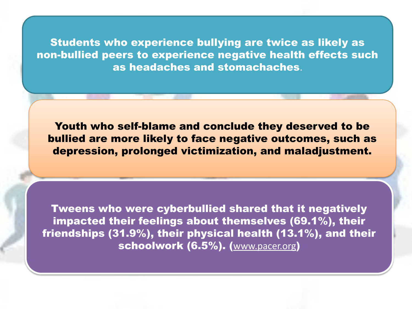Students who experience bullying are twice as likely as non-bullied peers to experience negative health effects such as headaches and stomachaches.

Youth who self-blame and conclude they deserved to be bullied are more likely to face negative outcomes, such as depression, prolonged victimization, and maladjustment.

Tweens who were cyberbullied shared that it negatively impacted their feelings about themselves (69.1%), their friendships (31.9%), their physical health (13.1%), and their schoolwork (6.5%). ([www.pacer.org](https://www.google.com/url?q=https://www.pacer.org/bullying/info/stats.asp?fbclid%3DIwAR2Z6Ul6SMhyGYl9khDyTbcHtbo-Ug8ekiZ8RBPzy0TWh_qUNwW0XdUUe24&sa=D&source=editors&ust=1634208901556000&usg=AOvVaw0r-vdRR-Ua2NvFpYvLqOMd))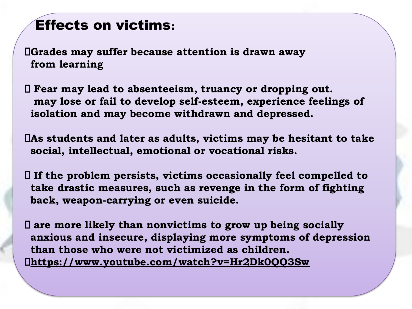### Effects on victims:

**Grades may suffer because attention is drawn away from learning**

 **Fear may lead to absenteeism, truancy or dropping out. may lose or fail to develop self-esteem, experience feelings of isolation and may become withdrawn and depressed.** 

**As students and later as adults, victims may be hesitant to take social, intellectual, emotional or vocational risks.**

 **If the problem persists, victims occasionally feel compelled to take drastic measures, such as revenge in the form of fighting back, weapon-carrying or even suicide.**

 **are more likely than nonvictims to grow up being socially anxious and insecure, displaying more symptoms of depression than those who were not victimized as children. [https://www.youtube.com/watch?v=Hr2Dk0QQ3Sw](https://www.google.com/url?q=https://www.youtube.com/watch?v%3DHr2Dk0QQ3Sw&sa=D&source=editors&ust=1634208901825000&usg=AOvVaw105cRe6mm-bp_JxFTlhpYn)**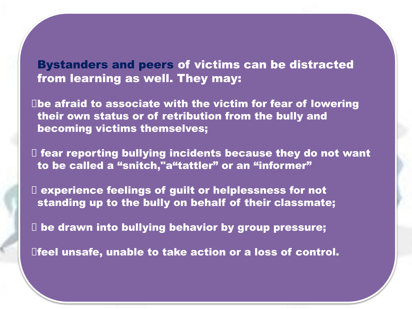Bystanders and peers of victims can be distracted from learning as well. They may:

 $\square$ be afraid to associate with the victim for fear of lowering their own status or of retribution from the bully and becoming victims themselves;

 $\Box$  fear reporting bullying incidents because they do not want to be called a "snitch,"a"tattler" or an "informer"

 experience feelings of guilt or helplessness for not standing up to the bully on behalf of their classmate;

 $\Box$  be drawn into bullying behavior by group pressure;

feel unsafe, unable to take action or a loss of control.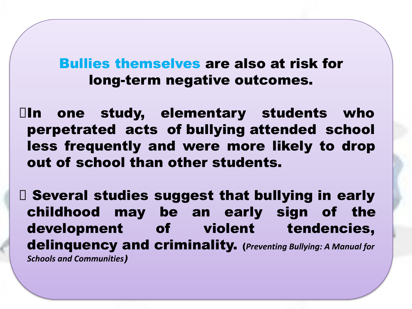Bullies themselves are also at risk for long-term negative outcomes.

 $\Box$ In one study, elementary students who perpetrated acts of bullying attended school less frequently and were more likely to drop out of school than other students.

 Several studies suggest that bullying in early childhood may be an early sign of the development of violent tendencies, delinquency and criminality. (*Preventing Bullying: A Manual for Schools and Communities*)